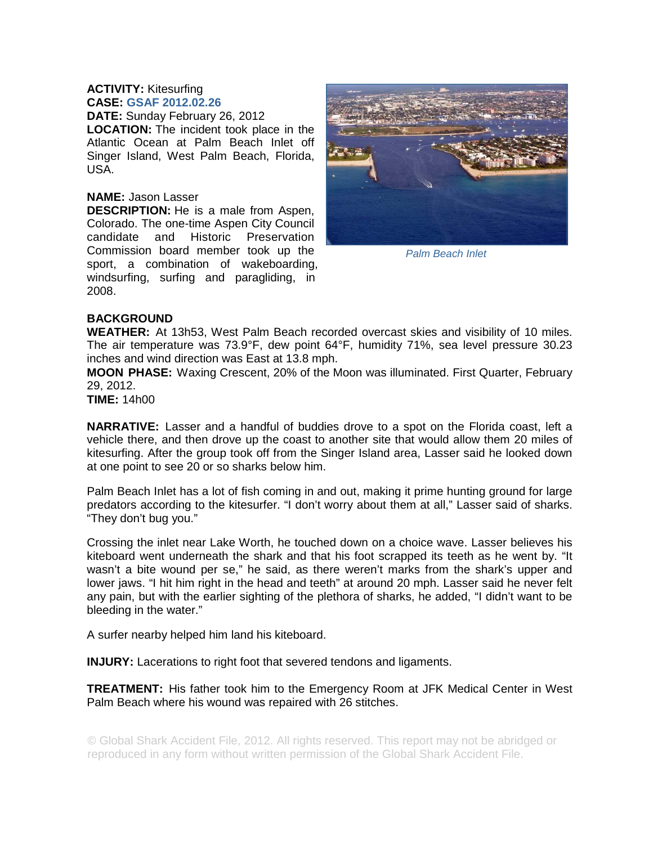## **ACTIVITY:** Kitesurfing **CASE: GSAF 2012.02.26**

**DATE:** Sunday February 26, 2012 **LOCATION:** The incident took place in the Atlantic Ocean at Palm Beach Inlet off Singer Island, West Palm Beach, Florida, USA.

## **NAME:** Jason Lasser

**DESCRIPTION:** He is a male from Aspen, Colorado. The one-time Aspen City Council candidate and Historic Preservation Commission board member took up the sport, a combination of wakeboarding, windsurfing, surfing and paragliding, in 2008.



*Palm Beach Inlet* 

## **BACKGROUND**

**WEATHER:** At 13h53, West Palm Beach recorded overcast skies and visibility of 10 miles. The air temperature was 73.9°F, dew point 64°F, humidity 71%, sea level pressure 30.23 inches and wind direction was East at 13.8 mph.

**MOON PHASE:** Waxing Crescent, 20% of the Moon was illuminated. First Quarter, February 29, 2012.

**TIME:** 14h00

**NARRATIVE:** Lasser and a handful of buddies drove to a spot on the Florida coast, left a vehicle there, and then drove up the coast to another site that would allow them 20 miles of kitesurfing. After the group took off from the Singer Island area, Lasser said he looked down at one point to see 20 or so sharks below him.

Palm Beach Inlet has a lot of fish coming in and out, making it prime hunting ground for large predators according to the kitesurfer. "I don't worry about them at all," Lasser said of sharks. "They don't bug you."

Crossing the inlet near Lake Worth, he touched down on a choice wave. Lasser believes his kiteboard went underneath the shark and that his foot scrapped its teeth as he went by. "It wasn't a bite wound per se," he said, as there weren't marks from the shark's upper and lower jaws. "I hit him right in the head and teeth" at around 20 mph. Lasser said he never felt any pain, but with the earlier sighting of the plethora of sharks, he added, "I didn't want to be bleeding in the water."

A surfer nearby helped him land his kiteboard.

**INJURY:** Lacerations to right foot that severed tendons and ligaments.

**TREATMENT:** His father took him to the Emergency Room at JFK Medical Center in West Palm Beach where his wound was repaired with 26 stitches.

© Global Shark Accident File, 2012. All rights reserved. This report may not be abridged or reproduced in any form without written permission of the Global Shark Accident File.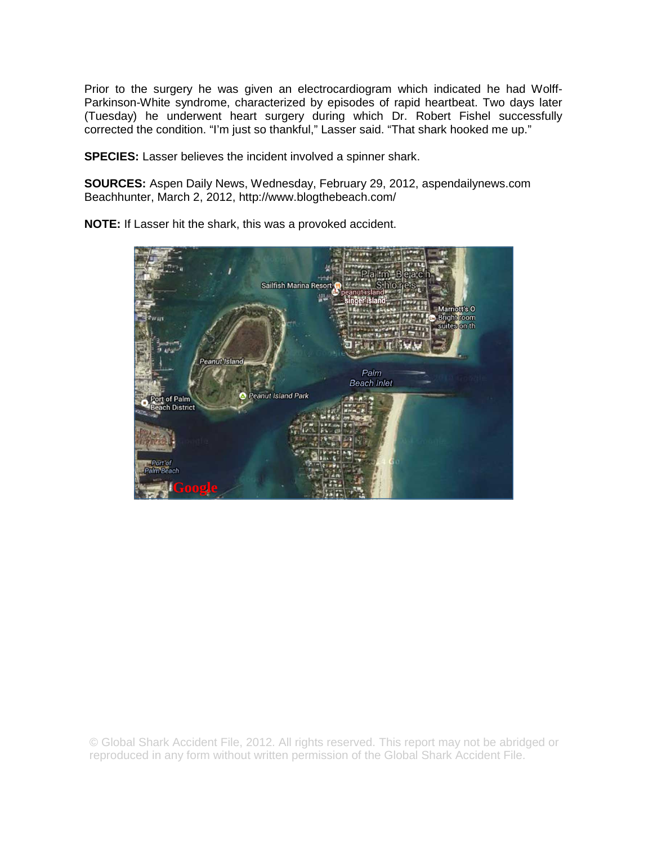Prior to the surgery he was given an electrocardiogram which indicated he had Wolff-Parkinson-White syndrome, characterized by episodes of rapid heartbeat. Two days later (Tuesday) he underwent heart surgery during which Dr. Robert Fishel successfully corrected the condition. "I'm just so thankful," Lasser said. "That shark hooked me up."

**SPECIES:** Lasser believes the incident involved a spinner shark.

**SOURCES:** Aspen Daily News, Wednesday, February 29, 2012, aspendailynews.com Beachhunter, March 2, 2012, http://www.blogthebeach.com/

**NOTE:** If Lasser hit the shark, this was a provoked accident.



© Global Shark Accident File, 2012. All rights reserved. This report may not be abridged or reproduced in any form without written permission of the Global Shark Accident File.